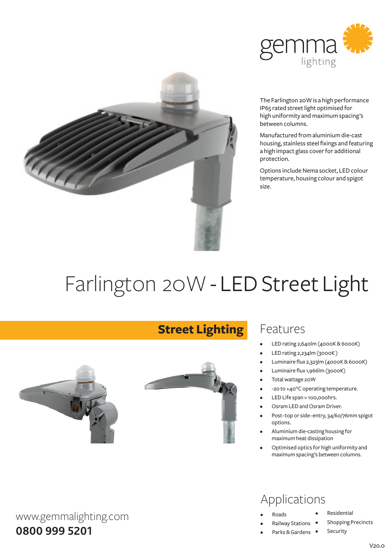



The Farlington 20W is a high performance IP65 rated street light optimised for high uniformity and maximum spacing's between columns.

Manufactured fromaluminiumdie-cast housing, stainless steel fixings and featuring a high impact glass cover for additional protection.

Options include Nema socket, LED colour temperature, housing colour and spigot size.

# Farlington 20W - LED Street Light



www.gemmalighting.com

**0800 999 5201**

## **Street Lighting**



#### Features

- LED rating 2,640lm (4000K & 6000K)
- LED rating 2,234lm (3000K)
- Luminaire flux 2,323lm (4000K&6000K)
- Luminaire flux 1,966lm (3000K)
- Total wattage 20W
- -20 to +40°C operating temperature.
- LED Life span > 100,000hrs.
- Osram LED and Osram Driver.
- Post-top or side-entry, 34/60/76mm spigot options.
- Aluminium die-casting housing for maximumheat dissipation
- Optimised optics for high uniformity and maximumspacing's between columns.

#### Applications

- **Roads**
- **Railway Stations**
- Parks & Gardens •
- **Residential**

Security

- Shopping Precincts
	- $V200$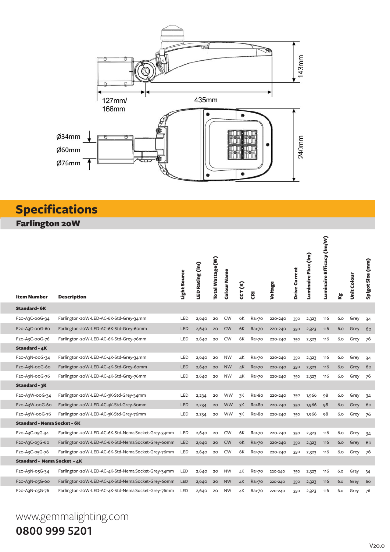

# **Specifications**

Farlington 20W

| <b>Item Number</b>                       | <b>Description</b>                                 | Light Source | LED Rating (Im) | Total Wattage(W) | Colour Name | CCT (K) | $\overline{\overline{\mathbf{g}}}$ | Voltage | Drive Current | Luminaire Flux (Im) | Luminaire Efficacy (Im/W) | త్త | Unit Colour | Spigot Size (mm) |
|------------------------------------------|----------------------------------------------------|--------------|-----------------|------------------|-------------|---------|------------------------------------|---------|---------------|---------------------|---------------------------|-----|-------------|------------------|
| <b>Standard-6K</b>                       |                                                    |              |                 |                  |             |         |                                    |         |               |                     |                           |     |             |                  |
| F20-A3C-00G-34                           | Farlington-20W-LED-AC-6K-Std-Grey-34mm             | LED          | 2,640           | 20               | <b>CW</b>   | 6K      | Ra>70                              | 220-240 | 350           | 2,323               | 116                       | 6.0 | Grey        | 34               |
| F <sub>20</sub> -A <sub>3</sub> C-ooG-60 | Farlington-20W-LED-AC-6K-Std-Grey-60mm             | <b>LED</b>   | 2,640           | 20               | <b>CW</b>   | 6K      | Ra>70                              | 220-240 | 350           | 2,323               | 116                       | 6.0 | Grey        | 60               |
| F20-A3C-00G-76                           | Farlington-20W-LED-AC-6K-Std-Grey-76mm             | LED          | 2,640           | 20               | <b>CW</b>   | 6K      | Ra>70                              | 220-240 | 350           | 2,323               | 116                       | 6.0 | Grey        | 76               |
| <b>Standard - 4K</b>                     |                                                    |              |                 |                  |             |         |                                    |         |               |                     |                           |     |             |                  |
| F20-A3N-00G-34                           | Farlington-20W-LED-AC-4K-Std-Grey-34mm             | LED          | 2,640           | 20               | <b>NW</b>   | 4К      | Ra>70                              | 220-240 | 350           | 2,323               | 116                       | 6.0 | Grey        | 34               |
| F20-A3N-00G-60                           | Farlington-20W-LED-AC-4K-Std-Grey-60mm             | <b>LED</b>   | 2,640           | 20               | <b>NW</b>   | 4K      | <b>Ra&gt;70</b>                    | 220-240 | 350           | 2,323               | 116                       | 6.0 | Grey        | 60               |
| F20-A3N-00G-76                           | Farlington-20W-LED-AC-4K-Std-Grey-76mm             | LED          | 2,640           | 20               | <b>NW</b>   | 4K      | Ra>70                              | 220-240 | 350           | 2,323               | 116                       | 6.0 | Grey        | 76               |
| Standard - 3K                            |                                                    |              |                 |                  |             |         |                                    |         |               |                     |                           |     |             |                  |
| F20-A3W-00G-34                           | Farlington-20W-LED-AC-3K-Std-Grey-34mm             | LED          | 2,234           | 20               | WW          | зK      | Ra > 80                            | 220-240 | 350           | 1,966               | 98                        | 6.0 | Grey        | 34               |
| F20-A3W-00G-60                           | Farlington-20W-LED-AC-3K-Std-Grey-60mm             | <b>LED</b>   | 2,234           | 20               | <b>WW</b>   | 3K      | Ra > 80                            | 220-240 | 350           | 1,966               | 98                        | 6.0 | Grey        | 60               |
| F20-A3W-00G-76                           | Farlington-20W-LED-AC-3K-Std-Grey-76mm             | LED          | 2,234           | 20               | <b>WW</b>   | 3K      | Ra > 80                            | 220-240 | 350           | 1,966               | 98                        | 6.0 | Grey        | 76               |
| <b>Standard - Nema Socket - 6K</b>       |                                                    |              |                 |                  |             |         |                                    |         |               |                     |                           |     |             |                  |
| F20-A3C-05G-34                           | Farlington-20W-LED-AC-6K-Std-Nema Socket-Grey-34mm | LED          | 2,640           | 20               | <b>CW</b>   | 6K      | Ra>70                              | 220-240 | 350           | 2,323               | 116                       | 6.0 | Grey        | 34               |
| F20-A3C-05G-60                           | Farlington-20W-LED-AC-6K-Std-Nema Socket-Grey-60mm | <b>LED</b>   | 2,640           | 20               | <b>CW</b>   | 6K      | Ra>70                              | 220-240 | 350           | 2,323               | 116                       | 6.0 | Grey        | 60               |
| F20-A3C-05G-76                           | Farlington-20W-LED-AC-6K-Std-Nema Socket-Grey-76mm | LED          | 2,640           | 20               | <b>CW</b>   | 6K      | Ra>70                              | 220-240 | 350           | 2,323               | 116                       | 6.0 | Grey        | 76               |
| Standard - Nema Socket - 4K              |                                                    |              |                 |                  |             |         |                                    |         |               |                     |                           |     |             |                  |
| F20-A3N-05G-34                           | Farlington-20W-LED-AC-4K-Std-Nema Socket-Grey-34mm | LED          | 2,640           | 20               | <b>NW</b>   | 4К      | Ra>70                              | 220-240 | 350           | 2,323               | 116                       | 6.0 | Grey        | 34               |
| F20-A3N-05G-60                           | Farlington-20W-LED-AC-4K-Std-Nema Socket-Grey-60mm | <b>LED</b>   | 2,640           | 20               | <b>NW</b>   | 4K      | Ra>70                              | 220-240 | 350           | 2,323               | 116                       | 6.0 | Grey        | 60               |
| F20-A3N-05G-76                           | Farlington-20W-LED-AC-4K-Std-Nema Socket-Grey-76mm | LED          | 2,640           | 20               | <b>NW</b>   | 4К      | Ra>70                              | 220-240 | 350           | 2,323               | 116                       | 6.0 | Grey        | 76               |

## www.gemmalighting.com **0800 999 5201**